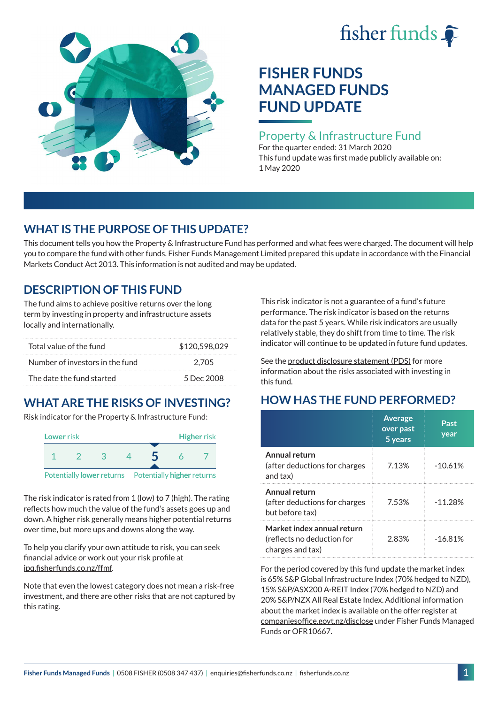# fisher funds  $\hat{\bullet}$



# **FISHER FUNDS MANAGED FUNDS FUND UPDATE**

#### Property & Infrastructure Fund

For the quarter ended: 31 March 2020 This fund update was first made publicly available on: 1 May 2020

## **WHAT IS THE PURPOSE OF THIS UPDATE?**

This document tells you how the Property & Infrastructure Fund has performed and what fees were charged. The document will help you to compare the fund with other funds. Fisher Funds Management Limited prepared this update in accordance with the Financial Markets Conduct Act 2013. This information is not audited and may be updated.

## **DESCRIPTION OF THIS FUND**

The fund aims to achieve positive returns over the long term by investing in property and infrastructure assets locally and internationally.

| Total value of the fund         | \$120,598,029 |  |  |
|---------------------------------|---------------|--|--|
| Number of investors in the fund | 2.705         |  |  |
| The date the fund started       | 5 Dec 2008    |  |  |

## **WHAT ARE THE RISKS OF INVESTING?**

Risk indicator for the Property & Infrastructure Fund:



The risk indicator is rated from 1 (low) to 7 (high). The rating reflects how much the value of the fund's assets goes up and down. A higher risk generally means higher potential returns over time, but more ups and downs along the way.

To help you clarify your own attitude to risk, you can seek financial advice or work out your risk profile at [ipq.fisherfunds.co.nz/ffmf](https://ipq.fisherfunds.co.nz/ffmf).

Note that even the lowest category does not mean a risk-free investment, and there are other risks that are not captured by this rating.

This risk indicator is not a guarantee of a fund's future performance. The risk indicator is based on the returns data for the past 5 years. While risk indicators are usually relatively stable, they do shift from time to time. The risk indicator will continue to be updated in future fund updates.

See the [product disclosure statement \(PDS\)](https://fisherfunds.co.nz/assets/PDS/Fisher-Funds-Managed-Funds-PDS.pdf) for more information about the risks associated with investing in this fund.

## **HOW HAS THE FUND PERFORMED?**

|                                                                              | <b>Average</b><br>over past<br>5 years | Past<br>year |
|------------------------------------------------------------------------------|----------------------------------------|--------------|
| Annual return<br>(after deductions for charges<br>and tax)                   | 7.13%                                  | $-10.61%$    |
| Annual return<br>(after deductions for charges<br>but before tax)            | 7.53%                                  | $-11.28%$    |
| Market index annual return<br>(reflects no deduction for<br>charges and tax) | 2.83%                                  | $-16.81%$    |

For the period covered by this fund update the market index is 65% S&P Global Infrastructure Index (70% hedged to NZD), 15% S&P/ASX200 A-REIT Index (70% hedged to NZD) and 20% S&P/NZX All Real Estate Index. Additional information about the market index is available on the offer register at [companiesoffice.govt.nz/disclose](http://companiesoffice.govt.nz/disclose) under Fisher Funds Managed Funds or OFR10667.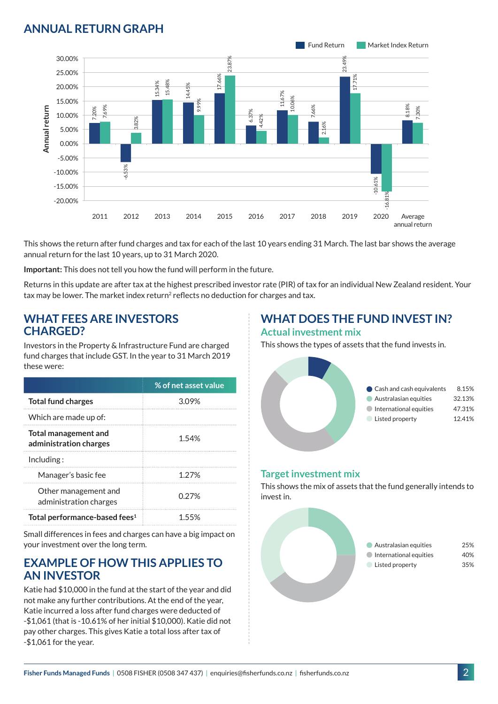## **ANNUAL RETURN GRAPH**



This shows the return after fund charges and tax for each of the last 10 years ending 31 March. The last bar shows the average annual return for the last 10 years, up to 31 March 2020.

**Important:** This does not tell you how the fund will perform in the future.

Returns in this update are after tax at the highest prescribed investor rate (PIR) of tax for an individual New Zealand resident. Your tax may be lower. The market index return<sup>2</sup> reflects no deduction for charges and tax.

#### **WHAT FEES ARE INVESTORS CHARGED?**

Investors in the Property & Infrastructure Fund are charged fund charges that include GST. In the year to 31 March 2019 these were:

|                                                | % of net asset value |
|------------------------------------------------|----------------------|
| <b>Total fund charges</b>                      | 3.09%                |
| Which are made up of:                          |                      |
| Total management and<br>administration charges | 1.54%                |
| Inding:                                        |                      |
| Manager's basic fee                            | 1 27%                |
| Other management and<br>administration charges | 0.27%                |
| Total performance-based fees <sup>1</sup>      | 1 55%                |

Small differences in fees and charges can have a big impact on your investment over the long term.

#### **EXAMPLE OF HOW THIS APPLIES TO AN INVESTOR**

Katie had \$10,000 in the fund at the start of the year and did not make any further contributions. At the end of the year, Katie incurred a loss after fund charges were deducted of -\$1,061 (that is -10.61% of her initial \$10,000). Katie did not pay other charges. This gives Katie a total loss after tax of -\$1,061 for the year.

# **WHAT DOES THE FUND INVEST IN?**

#### **Actual investment mix**

This shows the types of assets that the fund invests in.



#### **Target investment mix**

This shows the mix of assets that the fund generally intends to invest in.